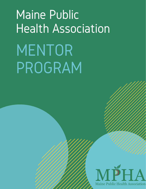# Maine Public Health Association MENTOR PROGRAM

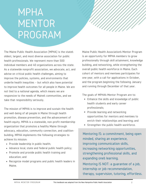### MPHA MENTOR PROGRAM

The Maine Public Health Association (MPHA) is the state's oldest, largest, and most diverse association for public health professionals. We represent more than 500 individual members and 40 organizations across the state. As a statewide nonprofit association, we advocate, act, and advise on critical public health challenges, aiming to improve the policies, systems, and environments that underlie health inequities – but which also have potential to improve health outcomes for all people in Maine. We are not tied to a national agenda, which means we are responsive to the needs of Maine's communities, and we take that responsibility seriously.

The mission of MPHA is to improve and sustain the health and well-being of all people in Maine through health promotion, disease prevention, and the advancement of health equity. MPHA is a statewide, non-profit membership organization that promotes a healthy Maine through advocacy, education, community connection, and coalitionbuilding. MPHA implements the following strategies to achieve its mission:

- Provide leadership in public health;
- Advance local, state and federal public health policy;
- Promote and provide public health training and education; and
- Recognize model programs and public health leaders in Maine.

Maine Public Health Association's Mentor Program is an opportunity for MPHA members to grow professionally through skill attainment, knowledge building, and networking, while strengthening the overall public health workforce in Maine. Each cohort of mentors and mentees participates for one year, with a call for applications in October, and the program beginning the following January and running through December of that year.

The goals of MPHA's Mentor Program are to:

- ·Enhance the skills and knowledge of public health students and early career professionals;
- ·Provide learning and networking opportunities for mentors and mentees to enrich their relationships and learning; and
- ·Strengthen the public health workforce.

Mentoring IS: a commitment, being open minded, sharing an experience, improving communication skills, increasing networking opportunities, strengthening professional skills, and expanding one's learning.

Mentoring IS NOT: a guarantee of a job, internship or job recommendation, therapy, supervision, tutoring, effortless.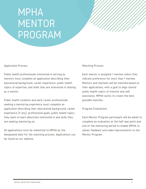# MPHA MENTOR PROGRAM

### Application Process

Public health professionals interested in serving as mentors must complete an application describing their educational background, career experience, public health topics of expertise, and skills they are interested in sharing as a mentor.

Public health students and early career professionals seeking a mentoring experience must complete an application describing their educational background, career experience (if any), professional goals, public health topics they want to learn about/are interested in and skills they are seeking mentoring on.

All applications must be submitted to MPHA by the designated date for the matching process. Applications can be found on our website.

### Matching Process

Each mentor is assigned 1 mentee unless they indicate preference for more than 1 mentee. Mentors and mentees will be matched based on their applications, with a goal to align shared public health topics of interest and skill assistance. MPHA works to create the best possible matches.

### Program Evaluations

Each Mentor Program participant will be asked to complete an evaluation at the half way point and end of the mentoring period to enable MPHA to obtain feedback and make improvements to the Mentor Program.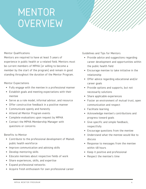### MENTOR **OVERVIEW**

### Mentor Qualifications

Mentors are required to have at least 5 years of experience in public health or a related field. Mentors must be current members of MPHA (or willing to become a member by the start of the program) and remain in good standing throughout the duration of the Mentor Program.

### Mentor Expectations

- ·Fully engage with the mentee in a professional manner
- ·Establish goals and meeting expectations with their mentee
- ·Serve as a role model, informal advisor, and resource
- ·Offer constructive feedback in a positive manner
- ·Communicate openly and honestly
- ·Attend all Mentor Program events
- ·Complete evaluations upon request by MPHA
- ·Contact the MPHA Membership Manager with questions or concerns

### Benefits to Mentor

- ·Contribute to the professional development of Maine's public health workforce
- ·Improve communication and advising skills
- ·Develop mentoring skills
- ·Educate mentees about respective fields of work
- ·Share experiences, skills, and expertise
- ·Expand professional networks
- ·Acquire fresh enthusiasm for own professional career

Guidelines and Tips for Mentors

- Provide advice and suggestions regarding career development and opportunities within the public health field
- Encourage mentee to take initiative in the relationship
- Offer advice regarding educational and/or career goals
- Provide options and supports, but not necessarily solutions
- Share applicable experiences
- Foster an environment of mutual trust, open communication and respect
- Facilitate learning
- Acknowledge mentee's contributions and progress toward goals
- Give specific and simple feedback, respectfully
- Encourage questions from the mentee
- Understand what the mentee would like to discuss
- Response to messages from the mentee within 48 hours
- Keep it positive and professional
- Respect the mentee's time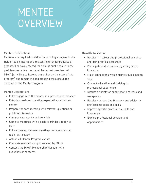### MENTEE **OVERVIEW**

### Mentee Qualifications

Mentees are required to either be pursuing a degree in the field of public health or a related field (undergraduate or graduate) or have entered the field of public health in the past two years. Mentees must be current members of MPHA (or willing to become a member by the start of the program) and remain in good standing throughout the duration of the Mentor Program.

### Mentee Expectations

- ·Fully engage with the mentor in a professional manner
- ·Establish goals and meeting expectations with their mentor
- ·Prepare for each meeting with relevant questions or points of discussion
- ·Communicate openly and honestly
- ·Come to meetings with a positive mindset, ready to learn
- ·Follow through between meetings on recommended tasks, as relevant
- ·Attend all Mentor Program events
- ·Complete evaluations upon request by MPHA
- ·Contact the MPHA Membership Manager with questions or concerns

Benefits to Mentee

- ·Receive 1-1 career and professional guidance and gain practical resources
- ·Participate in discussions regarding career interests
- ·Make connections within Maine's public health field
- ·Connect education and training to professional experience
- ·Discuss a variety of public health careers and workplaces
- ·Receive constructive feedback and advice for professional goals and skills
- ·Improve specific professional skills and knowledge
- ·Explore professional development opportunities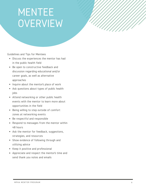### MENTEE **OVERVIEW**

Guidelines and Tips for Mentees

- ·Discuss the experiences the mentor has had in the public health field
- ·Be open to constructive feedback and discussion regarding educational and/or career goals, as well as alternative approaches
- Inquire about the mentor's place of work
- ·Ask questions about types of public health jobs
- ·Attend networking or other public health events with the mentor to learn more about opportunities in the field
- ·Being willing to step outside of comfort zones at networking events
- ·Be respectful and responsible
- ·Respond to messages from the mentor within 48 hours
- ·Ask the mentor for feedback, suggestions, strategies, and resources
- ·Show evidence of following through and utilizing advice
- ·Keep it positive and professional
- ·Appreciate and respect the mentor's time and send thank you notes and emails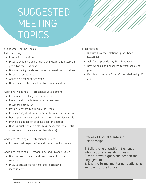### **SUGGESTED** MEETING TOPICS

Suggested Meeting Topics Initial Meeting

- ·Formal introductions
- ·Discuss academic and professional goals, and establish goals for the relationship
- ·Discuss backgrounds and career interest on both sides
- ·Discuss expectations
- ·Agree on a meeting schedule
- ·Determine the best method for communication

Additional Meetings – Professional Development

- Introduce to colleagues or contacts
- Review and provide feedback on mentee's resume/portfolio/CV
- Review mentor's resume/CV/portfolio
- Provide insight into mentor's public health experience
- Develop interviewing or informational interviews skills
- Provide guidance on seeking a job or postdoc
- Discuss public health fields (e.g., academia, non-profit, government, private sector, healthcare)

Additional Meetings – Professional Service

Professional organization and committee involvement

Additional Meetings – Personal Life and Balance Issues

- Discuss how personal and professional life can fit together
- Discuss strategies for time and relationship management

Final Meeting

- ·Discuss how the relationship has been beneficial
- ·Ask for or provide any final feedback
- ·Review goals and progress toward achieving goals
- ·Decide on the next form of the relationship, if any

Stages of Formal Mentoring Relationships:

1 .Build the relationship - Exchange information and establish goals 2. Work toward goals and deepen the engagement

3. End the formal mentoring relationship and plan for the future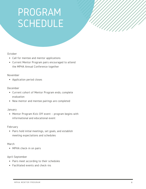# PROGRAM SCHEDULE

### October

- ·Call for mentee and mentor applications
- ·Current Mentor Program pairs encouraged to attend the MPHA Annual Conference together

### November

·Application period closes

### December

- ·Current cohort of Mentor Program ends; complete evaluation
- ·New mentor and mentee pairings are completed

### January

·Mentor Program Kick-Off event – program begins with informational and educational event

### February

·Pairs hold initial meetings, set goals, and establish meeting expectations and schedules

### March

·MPHA check-in on pairs

### April-September

- ·Pairs meet according to their schedules
- ·Facilitated events and check-ins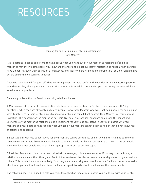### RESOURCES

Planning for and Defining a Mentoring Relationship New Mentees

It is important to spend some time thinking about what you want out of your mentoring relationship(s). Since mentoring may involve both people you know and strangers, the most successful relationships happen when partners have thought through their definition of mentoring, and their own preferences and parameters for their relationships before embarking on such relationships.

Once you have defined for yourself what mentoring means for you, confer with your Mentor and mentoring peers to see whether they share your view of mentoring. Having this initial discussion with your mentoring partners will help to avoid potential problems.

Common problems that surface in mentoring relationships are:

A.Miscommunication, lack of communication: Mentees have been hesitant to "bother" their mentors with "silly questions" when they are obviously such busy people. Conversely, Mentors who were not being asked for help did not want to interfere in their Mentees'lives by seeming pushy, and thus did not contact their Mentees without express invitation. This concern for the mentoring partner's freedom, time and independence can lessen the impact and usefulness of the mentoring relationship. It is important for you to be pro-active in your relationship with your mentors and your peers so that you get what you need. Your mentors cannot begin to help if they do not know your questions and concerns.

B.Expectations: Mentees'expectations for their mentors can be unrealistic. One or two mentors cannot be the only resource on every topic. Mentors should be able to admit they do not have expertise in a particular area but should then look for other people who might be an appropriate resources on that topic.

C.Realities: Remember: if you have been paired with a stranger, this is a somewhat artificial way of establishing a relationship and means that, through no fault of the Mentee or the Mentor, some relationships may not gel as well as others. This possibility is much less likely if you begin your mentoring relationships with a frank and honest discussion about what you want and need, and have the Mentors speak frankly about how they see the role of Mentor.

The following page is designed to help you think through what type of relationship you would like with your Mentor.